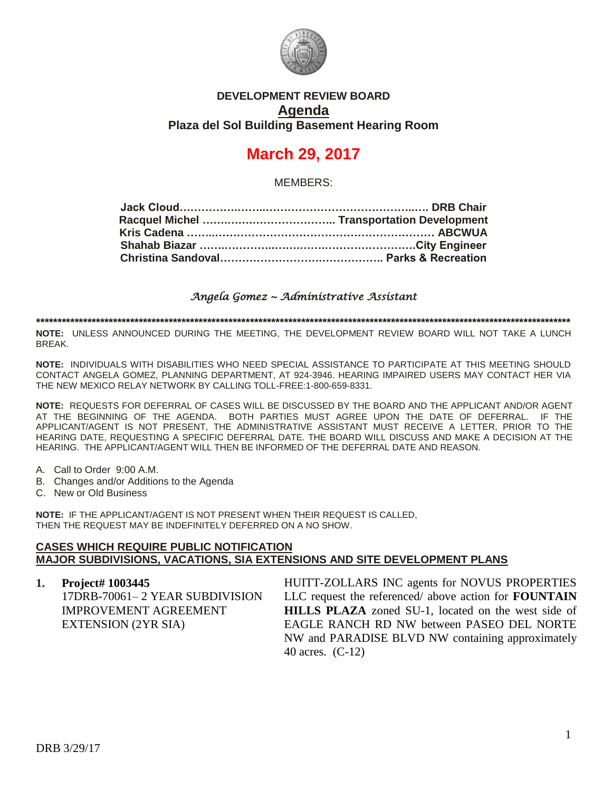

# **DEVELOPMENT REVIEW BOARD Agenda Plaza del Sol Building Basement Hearing Room**

# **March 29, 2017**

MEMBERS:

*Angela Gomez ~ Administrative Assistant* 

**\*\*\*\*\*\*\*\*\*\*\*\*\*\*\*\*\*\*\*\*\*\*\*\*\*\*\*\*\*\*\*\*\*\*\*\*\*\*\*\*\*\*\*\*\*\*\*\*\*\*\*\*\*\*\*\*\*\*\*\*\*\*\*\*\*\*\*\*\*\*\*\*\*\*\*\*\*\*\*\*\*\*\*\*\*\*\*\*\*\*\*\*\*\*\*\*\*\*\*\*\*\*\*\*\*\*\*\*\*\*\*\*\*\*\*\*\*\*\*\*\*\*\*\*\***

**NOTE:** UNLESS ANNOUNCED DURING THE MEETING, THE DEVELOPMENT REVIEW BOARD WILL NOT TAKE A LUNCH BREAK.

**NOTE:** INDIVIDUALS WITH DISABILITIES WHO NEED SPECIAL ASSISTANCE TO PARTICIPATE AT THIS MEETING SHOULD CONTACT ANGELA GOMEZ, PLANNING DEPARTMENT, AT 924-3946. HEARING IMPAIRED USERS MAY CONTACT HER VIA THE NEW MEXICO RELAY NETWORK BY CALLING TOLL-FREE:1-800-659-8331.

**NOTE:** REQUESTS FOR DEFERRAL OF CASES WILL BE DISCUSSED BY THE BOARD AND THE APPLICANT AND/OR AGENT AT THE BEGINNING OF THE AGENDA. BOTH PARTIES MUST AGREE UPON THE DATE OF DEFERRAL. IF THE APPLICANT/AGENT IS NOT PRESENT, THE ADMINISTRATIVE ASSISTANT MUST RECEIVE A LETTER, PRIOR TO THE HEARING DATE, REQUESTING A SPECIFIC DEFERRAL DATE. THE BOARD WILL DISCUSS AND MAKE A DECISION AT THE HEARING. THE APPLICANT/AGENT WILL THEN BE INFORMED OF THE DEFERRAL DATE AND REASON.

- A. Call to Order 9:00 A.M.
- B. Changes and/or Additions to the Agenda
- C. New or Old Business

**NOTE:** IF THE APPLICANT/AGENT IS NOT PRESENT WHEN THEIR REQUEST IS CALLED, THEN THE REQUEST MAY BE INDEFINITELY DEFERRED ON A NO SHOW.

#### **CASES WHICH REQUIRE PUBLIC NOTIFICATION MAJOR SUBDIVISIONS, VACATIONS, SIA EXTENSIONS AND SITE DEVELOPMENT PLANS**

**1. Project# 1003445** 17DRB-70061– 2 YEAR SUBDIVISION IMPROVEMENT AGREEMENT EXTENSION (2YR SIA) HUITT-ZOLLARS INC agents for NOVUS PROPERTIES LLC request the referenced/ above action for **FOUNTAIN HILLS PLAZA** zoned SU-1, located on the west side of EAGLE RANCH RD NW between PASEO DEL NORTE NW and PARADISE BLVD NW containing approximately 40 acres. (C-12)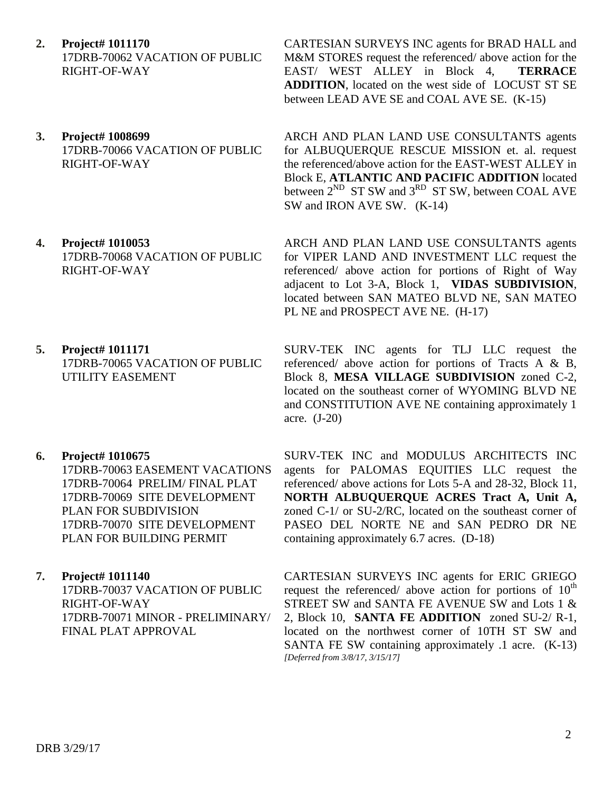- **2. Project# 1011170** 17DRB-70062 VACATION OF PUBLIC RIGHT-OF-WAY
- **3. Project# 1008699** 17DRB-70066 VACATION OF PUBLIC RIGHT-OF-WAY
- **4. Project# 1010053** 17DRB-70068 VACATION OF PUBLIC RIGHT-OF-WAY
- **5. Project# 1011171** 17DRB-70065 VACATION OF PUBLIC UTILITY EASEMENT
- **6. Project# 1010675**

17DRB-70063 EASEMENT VACATIONS 17DRB-70064 PRELIM/ FINAL PLAT 17DRB-70069 SITE DEVELOPMENT PLAN FOR SUBDIVISION 17DRB-70070 SITE DEVELOPMENT PLAN FOR BUILDING PERMIT

## **7. Project# 1011140**

17DRB-70037 VACATION OF PUBLIC RIGHT-OF-WAY 17DRB-70071 MINOR - PRELIMINARY/ FINAL PLAT APPROVAL

DRB 3/29/17

CARTESIAN SURVEYS INC agents for BRAD HALL and M&M STORES request the referenced/ above action for the EAST/ WEST ALLEY in Block 4, **TERRACE ADDITION**, located on the west side of LOCUST ST SE between LEAD AVE SE and COAL AVE SE. (K-15)

ARCH AND PLAN LAND USE CONSULTANTS agents for ALBUQUERQUE RESCUE MISSION et. al. request the referenced/above action for the EAST-WEST ALLEY in Block E, **ATLANTIC AND PACIFIC ADDITION** located between  $2^{ND}$  ST SW and  $3^{RD}$  ST SW, between COAL AVE SW and IRON AVE SW. (K-14)

ARCH AND PLAN LAND USE CONSULTANTS agents for VIPER LAND AND INVESTMENT LLC request the referenced/ above action for portions of Right of Way adjacent to Lot 3-A, Block 1, **VIDAS SUBDIVISION**, located between SAN MATEO BLVD NE, SAN MATEO PL NE and PROSPECT AVE NE. (H-17)

SURV-TEK INC agents for TLJ LLC request the referenced/ above action for portions of Tracts A & B, Block 8, **MESA VILLAGE SUBDIVISION** zoned C-2, located on the southeast corner of WYOMING BLVD NE and CONSTITUTION AVE NE containing approximately 1 acre. (J-20)

SURV-TEK INC and MODULUS ARCHITECTS INC agents for PALOMAS EQUITIES LLC request the referenced/ above actions for Lots 5-A and 28-32, Block 11, **NORTH ALBUQUERQUE ACRES Tract A, Unit A,** zoned C-1/ or SU-2/RC, located on the southeast corner of PASEO DEL NORTE NE and SAN PEDRO DR NE containing approximately 6.7 acres. (D-18)

CARTESIAN SURVEYS INC agents for ERIC GRIEGO request the referenced/ above action for portions of  $10<sup>th</sup>$ STREET SW and SANTA FE AVENUE SW and Lots 1 & 2, Block 10, **SANTA FE ADDITION** zoned SU-2/ R-1, located on the northwest corner of 10TH ST SW and SANTA FE SW containing approximately .1 acre. (K-13) *[Deferred from 3/8/17, 3/15/17]*